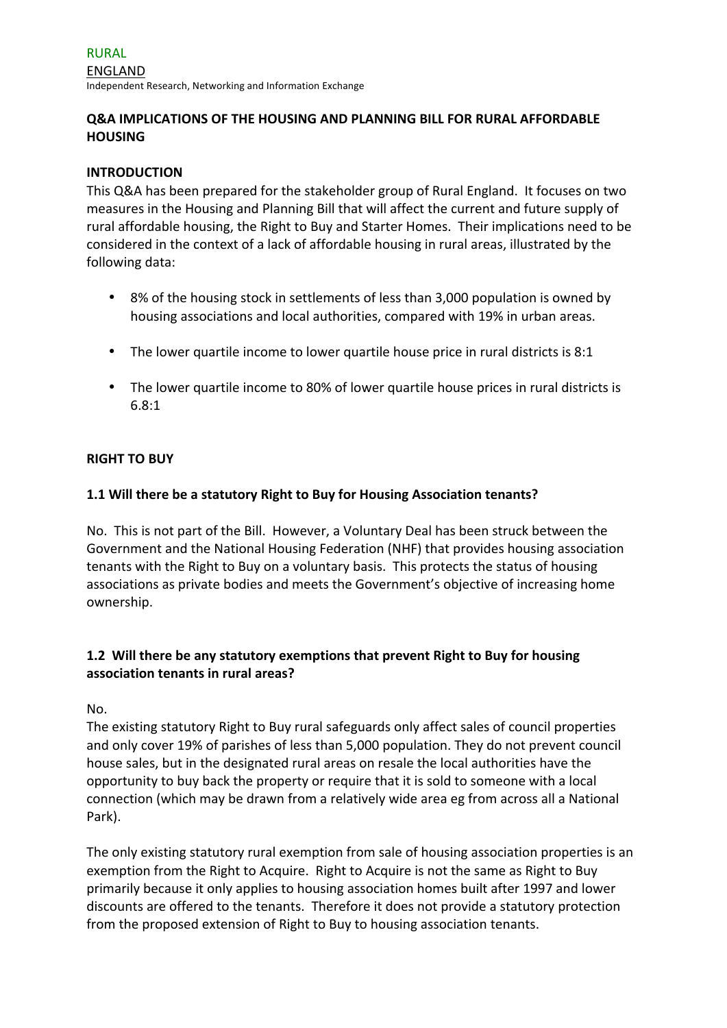# **O&A IMPLICATIONS OF THE HOUSING AND PLANNING BILL FOR RURAL AFFORDABLE HOUSING**

### **INTRODUCTION**

This Q&A has been prepared for the stakeholder group of Rural England. It focuses on two measures in the Housing and Planning Bill that will affect the current and future supply of rural affordable housing, the Right to Buy and Starter Homes. Their implications need to be considered in the context of a lack of affordable housing in rural areas, illustrated by the following data:

- 8% of the housing stock in settlements of less than 3,000 population is owned by housing associations and local authorities, compared with 19% in urban areas.
- The lower quartile income to lower quartile house price in rural districts is  $8:1$
- The lower quartile income to 80% of lower quartile house prices in rural districts is 6.8:1

### **RIGHT TO BUY**

### **1.1 Will there be a statutory Right to Buy for Housing Association tenants?**

No. This is not part of the Bill. However, a Voluntary Deal has been struck between the Government and the National Housing Federation (NHF) that provides housing association tenants with the Right to Buy on a voluntary basis. This protects the status of housing associations as private bodies and meets the Government's objective of increasing home ownership.

# **1.2** Will there be any statutory exemptions that prevent Right to Buy for housing **association tenants in rural areas?**

No. 

The existing statutory Right to Buy rural safeguards only affect sales of council properties and only cover 19% of parishes of less than 5,000 population. They do not prevent council house sales, but in the designated rural areas on resale the local authorities have the opportunity to buy back the property or require that it is sold to someone with a local connection (which may be drawn from a relatively wide area eg from across all a National Park). 

The only existing statutory rural exemption from sale of housing association properties is an exemption from the Right to Acquire. Right to Acquire is not the same as Right to Buy primarily because it only applies to housing association homes built after 1997 and lower discounts are offered to the tenants. Therefore it does not provide a statutory protection from the proposed extension of Right to Buy to housing association tenants.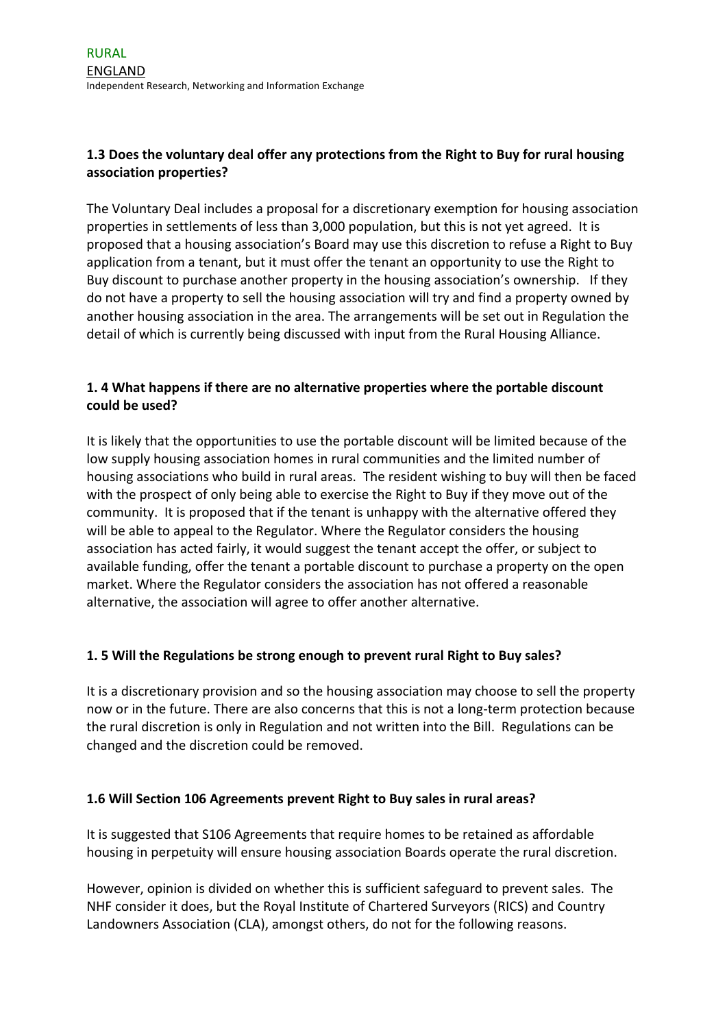# **1.3** Does the voluntary deal offer any protections from the Right to Buy for rural housing **association properties?**

The Voluntary Deal includes a proposal for a discretionary exemption for housing association properties in settlements of less than 3,000 population, but this is not yet agreed. It is proposed that a housing association's Board may use this discretion to refuse a Right to Buy application from a tenant, but it must offer the tenant an opportunity to use the Right to Buy discount to purchase another property in the housing association's ownership. If they do not have a property to sell the housing association will try and find a property owned by another housing association in the area. The arrangements will be set out in Regulation the detail of which is currently being discussed with input from the Rural Housing Alliance.

# **1. 4** What happens if there are no alternative properties where the portable discount **could be used?**

It is likely that the opportunities to use the portable discount will be limited because of the low supply housing association homes in rural communities and the limited number of housing associations who build in rural areas. The resident wishing to buy will then be faced with the prospect of only being able to exercise the Right to Buy if they move out of the community. It is proposed that if the tenant is unhappy with the alternative offered they will be able to appeal to the Regulator. Where the Regulator considers the housing association has acted fairly, it would suggest the tenant accept the offer, or subject to available funding, offer the tenant a portable discount to purchase a property on the open market. Where the Regulator considers the association has not offered a reasonable alternative, the association will agree to offer another alternative.

# **1. 5 Will the Regulations be strong enough to prevent rural Right to Buy sales?**

It is a discretionary provision and so the housing association may choose to sell the property now or in the future. There are also concerns that this is not a long-term protection because the rural discretion is only in Regulation and not written into the Bill. Regulations can be changed and the discretion could be removed.

# **1.6 Will Section 106 Agreements prevent Right to Buy sales in rural areas?**

It is suggested that S106 Agreements that require homes to be retained as affordable housing in perpetuity will ensure housing association Boards operate the rural discretion.

However, opinion is divided on whether this is sufficient safeguard to prevent sales. The NHF consider it does, but the Royal Institute of Chartered Surveyors (RICS) and Country Landowners Association (CLA), amongst others, do not for the following reasons.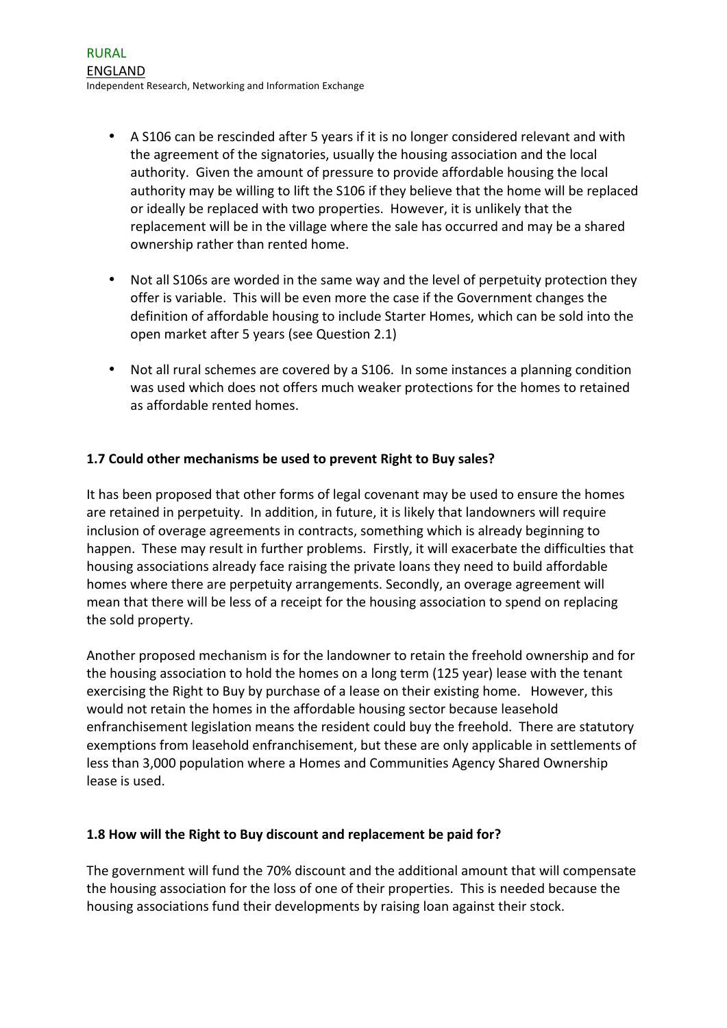- A S106 can be rescinded after 5 years if it is no longer considered relevant and with the agreement of the signatories, usually the housing association and the local authority. Given the amount of pressure to provide affordable housing the local authority may be willing to lift the S106 if they believe that the home will be replaced or ideally be replaced with two properties. However, it is unlikely that the replacement will be in the village where the sale has occurred and may be a shared ownership rather than rented home.
- Not all S106s are worded in the same way and the level of perpetuity protection they offer is variable. This will be even more the case if the Government changes the definition of affordable housing to include Starter Homes, which can be sold into the open market after 5 years (see Question 2.1)
- Not all rural schemes are covered by a S106. In some instances a planning condition was used which does not offers much weaker protections for the homes to retained as affordable rented homes.

# **1.7 Could other mechanisms be used to prevent Right to Buy sales?**

It has been proposed that other forms of legal covenant may be used to ensure the homes are retained in perpetuity. In addition, in future, it is likely that landowners will require inclusion of overage agreements in contracts, something which is already beginning to happen. These may result in further problems. Firstly, it will exacerbate the difficulties that housing associations already face raising the private loans they need to build affordable homes where there are perpetuity arrangements. Secondly, an overage agreement will mean that there will be less of a receipt for the housing association to spend on replacing the sold property.

Another proposed mechanism is for the landowner to retain the freehold ownership and for the housing association to hold the homes on a long term (125 year) lease with the tenant exercising the Right to Buy by purchase of a lease on their existing home. However, this would not retain the homes in the affordable housing sector because leasehold enfranchisement legislation means the resident could buy the freehold. There are statutory exemptions from leasehold enfranchisement, but these are only applicable in settlements of less than 3,000 population where a Homes and Communities Agency Shared Ownership lease is used.

# **1.8 How will the Right to Buy discount and replacement be paid for?**

The government will fund the 70% discount and the additional amount that will compensate the housing association for the loss of one of their properties. This is needed because the housing associations fund their developments by raising loan against their stock.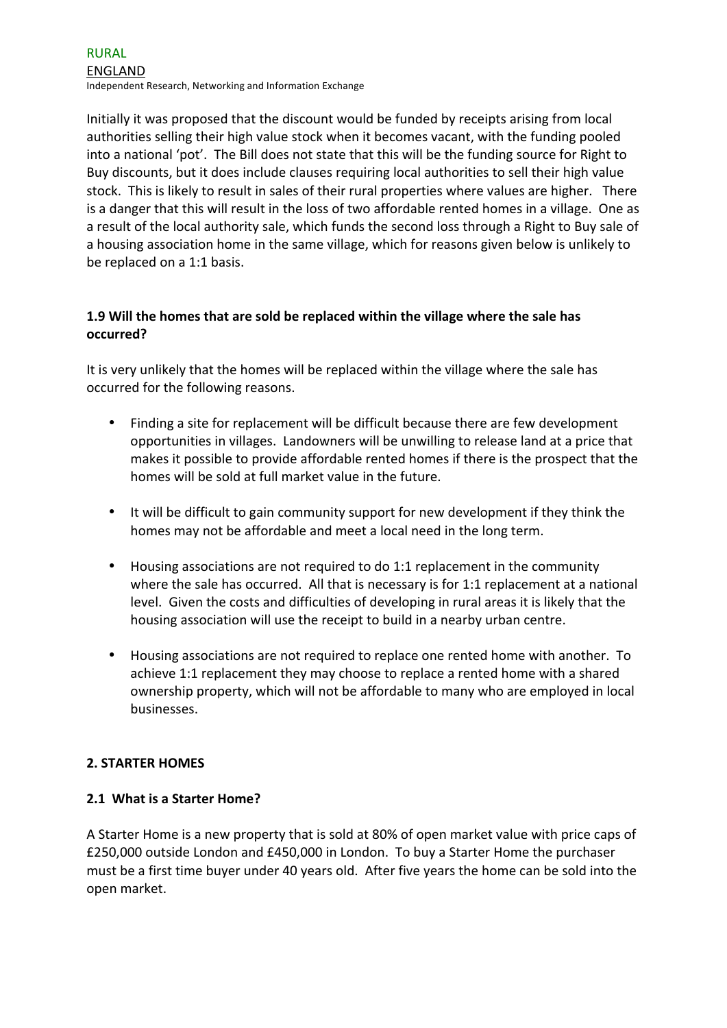Initially it was proposed that the discount would be funded by receipts arising from local authorities selling their high value stock when it becomes vacant, with the funding pooled into a national 'pot'. The Bill does not state that this will be the funding source for Right to Buy discounts, but it does include clauses requiring local authorities to sell their high value stock. This is likely to result in sales of their rural properties where values are higher. There is a danger that this will result in the loss of two affordable rented homes in a village. One as a result of the local authority sale, which funds the second loss through a Right to Buy sale of a housing association home in the same village, which for reasons given below is unlikely to be replaced on a 1:1 basis.

# **1.9** Will the homes that are sold be replaced within the village where the sale has **occurred?**

It is very unlikely that the homes will be replaced within the village where the sale has occurred for the following reasons.

- Finding a site for replacement will be difficult because there are few development opportunities in villages. Landowners will be unwilling to release land at a price that makes it possible to provide affordable rented homes if there is the prospect that the homes will be sold at full market value in the future.
- It will be difficult to gain community support for new development if they think the homes may not be affordable and meet a local need in the long term.
- Housing associations are not required to do 1:1 replacement in the community where the sale has occurred. All that is necessary is for 1:1 replacement at a national level. Given the costs and difficulties of developing in rural areas it is likely that the housing association will use the receipt to build in a nearby urban centre.
- Housing associations are not required to replace one rented home with another. To achieve 1:1 replacement they may choose to replace a rented home with a shared ownership property, which will not be affordable to many who are employed in local businesses.

# **2. STARTER HOMES**

# **2.1 What is a Starter Home?**

A Starter Home is a new property that is sold at 80% of open market value with price caps of £250,000 outside London and £450,000 in London. To buy a Starter Home the purchaser must be a first time buyer under 40 years old. After five years the home can be sold into the open market.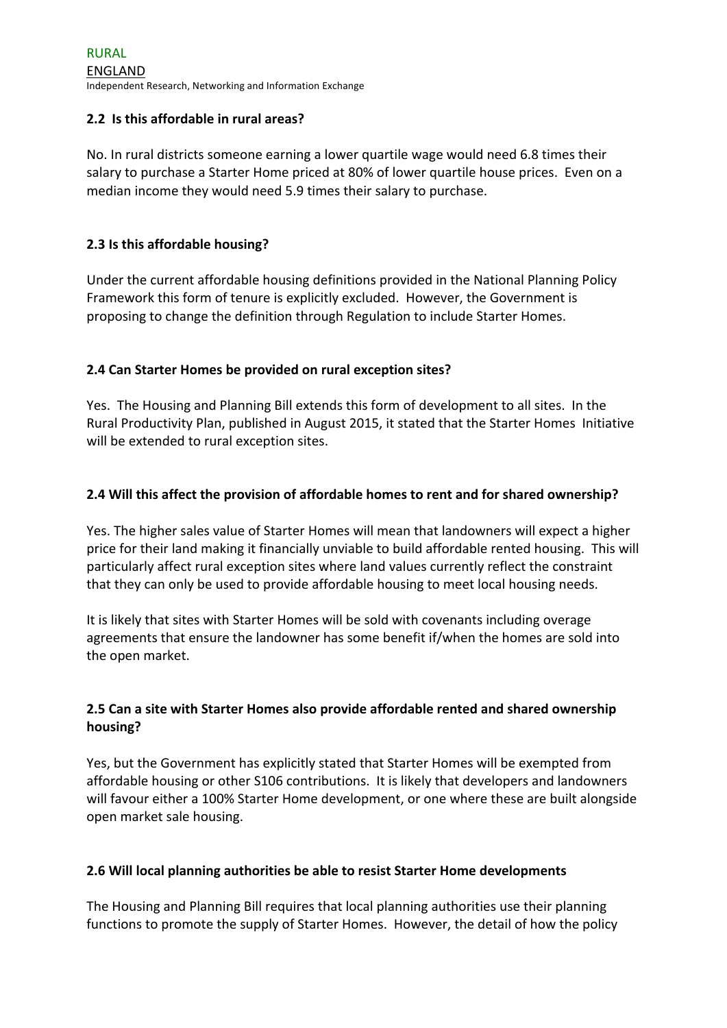# **2.2 Is this affordable in rural areas?**

No. In rural districts someone earning a lower quartile wage would need 6.8 times their salary to purchase a Starter Home priced at 80% of lower quartile house prices. Even on a median income they would need 5.9 times their salary to purchase.

### **2.3** Is this affordable housing?

Under the current affordable housing definitions provided in the National Planning Policy Framework this form of tenure is explicitly excluded. However, the Government is proposing to change the definition through Regulation to include Starter Homes.

# **2.4 Can Starter Homes be provided on rural exception sites?**

Yes. The Housing and Planning Bill extends this form of development to all sites. In the Rural Productivity Plan, published in August 2015, it stated that the Starter Homes Initiative will be extended to rural exception sites.

### **2.4** Will this affect the provision of affordable homes to rent and for shared ownership?

Yes. The higher sales value of Starter Homes will mean that landowners will expect a higher price for their land making it financially unviable to build affordable rented housing. This will particularly affect rural exception sites where land values currently reflect the constraint that they can only be used to provide affordable housing to meet local housing needs.

It is likely that sites with Starter Homes will be sold with covenants including overage agreements that ensure the landowner has some benefit if/when the homes are sold into the open market.

# **2.5** Can a site with Starter Homes also provide affordable rented and shared ownership **housing?**

Yes, but the Government has explicitly stated that Starter Homes will be exempted from affordable housing or other S106 contributions. It is likely that developers and landowners will favour either a 100% Starter Home development, or one where these are built alongside open market sale housing.

# **2.6** Will local planning authorities be able to resist Starter Home developments

The Housing and Planning Bill requires that local planning authorities use their planning functions to promote the supply of Starter Homes. However, the detail of how the policy